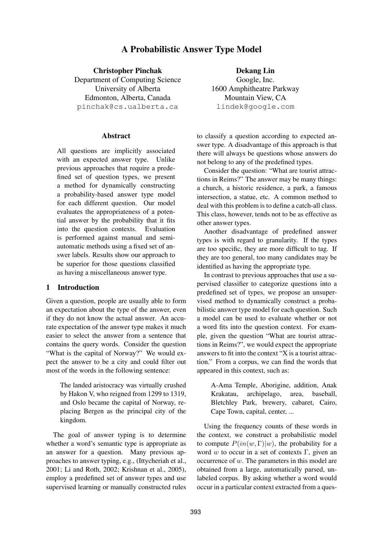# A Probabilistic Answer Type Model

Christopher Pinchak Department of Computing Science University of Alberta Edmonton, Alberta, Canada pinchak@cs.ualberta.ca

## Abstract

All questions are implicitly associated with an expected answer type. Unlike previous approaches that require a predefined set of question types, we present a method for dynamically constructing a probability-based answer type model for each different question. Our model evaluates the appropriateness of a potential answer by the probability that it fits into the question contexts. Evaluation is performed against manual and semiautomatic methods using a fixed set of answer labels. Results show our approach to be superior for those questions classified as having a miscellaneous answer type.

## 1 Introduction

Given a question, people are usually able to form an expectation about the type of the answer, even if they do not know the actual answer. An accurate expectation of the answer type makes it much easier to select the answer from a sentence that contains the query words. Consider the question "What is the capital of Norway?" We would expect the answer to be a city and could filter out most of the words in the following sentence:

The landed aristocracy was virtually crushed by Hakon V, who reigned from 1299 to 1319, and Oslo became the capital of Norway, replacing Bergen as the principal city of the kingdom.

The goal of answer typing is to determine whether a word's semantic type is appropriate as an answer for a question. Many previous approaches to answer typing, e.g., (Ittycheriah et al., 2001; Li and Roth, 2002; Krishnan et al., 2005), employ a predefined set of answer types and use supervised learning or manually constructed rules

Dekang Lin Google, Inc. 1600 Amphitheatre Parkway Mountain View, CA lindek@google.com

to classify a question according to expected answer type. A disadvantage of this approach is that there will always be questions whose answers do not belong to any of the predefined types.

Consider the question: "What are tourist attractions in Reims?" The answer may be many things: a church, a historic residence, a park, a famous intersection, a statue, etc. A common method to deal with this problem is to define a catch-all class. This class, however, tends not to be as effective as other answer types.

Another disadvantage of predefined answer types is with regard to granularity. If the types are too specific, they are more difficult to tag. If they are too general, too many candidates may be identified as having the appropriate type.

In contrast to previous approaches that use a supervised classifier to categorize questions into a predefined set of types, we propose an unsupervised method to dynamically construct a probabilistic answer type model for each question. Such a model can be used to evaluate whether or not a word fits into the question context. For example, given the question "What are tourist attractions in Reims?", we would expect the appropriate answers to fit into the context "X is a tourist attraction." From a corpus, we can find the words that appeared in this context, such as:

> A-Ama Temple, Aborigine, addition, Anak Krakatau, archipelago, area, baseball, Bletchley Park, brewery, cabaret, Cairo, Cape Town, capital, center, ...

Using the frequency counts of these words in the context, we construct a probabilistic model to compute  $P(in(w, \Gamma)|w)$ , the probability for a word w to occur in a set of contexts Γ, given an occurrence of  $w$ . The parameters in this model are obtained from a large, automatically parsed, unlabeled corpus. By asking whether a word would occur in a particular context extracted from a ques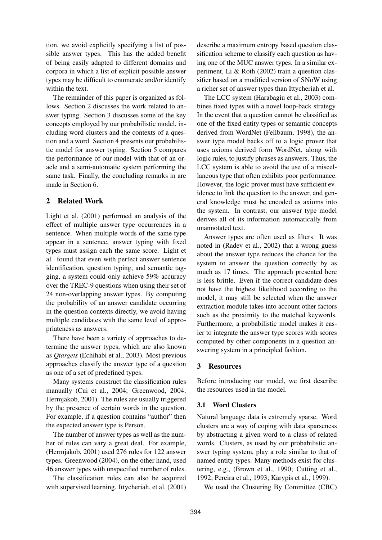tion, we avoid explicitly specifying a list of possible answer types. This has the added benefit of being easily adapted to different domains and corpora in which a list of explicit possible answer types may be difficult to enumerate and/or identify within the text.

The remainder of this paper is organized as follows. Section 2 discusses the work related to answer typing. Section 3 discusses some of the key concepts employed by our probabilistic model, including word clusters and the contexts of a question and a word. Section 4 presents our probabilistic model for answer typing. Section 5 compares the performance of our model with that of an oracle and a semi-automatic system performing the same task. Finally, the concluding remarks in are made in Section 6.

## 2 Related Work

Light et al. (2001) performed an analysis of the effect of multiple answer type occurrences in a sentence. When multiple words of the same type appear in a sentence, answer typing with fixed types must assign each the same score. Light et al. found that even with perfect answer sentence identification, question typing, and semantic tagging, a system could only achieve 59% accuracy over the TREC-9 questions when using their set of 24 non-overlapping answer types. By computing the probability of an answer candidate occurring in the question contexts directly, we avoid having multiple candidates with the same level of appropriateness as answers.

There have been a variety of approaches to determine the answer types, which are also known as *Qtargets* (Echihabi et al., 2003). Most previous approaches classify the answer type of a question as one of a set of predefined types.

Many systems construct the classification rules manually (Cui et al., 2004; Greenwood, 2004; Hermjakob, 2001). The rules are usually triggered by the presence of certain words in the question. For example, if a question contains "author" then the expected answer type is Person.

The number of answer types as well as the number of rules can vary a great deal. For example, (Hermjakob, 2001) used 276 rules for 122 answer types. Greenwood (2004), on the other hand, used 46 answer types with unspecified number of rules.

The classification rules can also be acquired with supervised learning. Ittycheriah, et al. (2001)

describe a maximum entropy based question classification scheme to classify each question as having one of the MUC answer types. In a similar experiment, Li & Roth (2002) train a question classifier based on a modified version of SNoW using a richer set of answer types than Ittycheriah et al.

The LCC system (Harabagiu et al., 2003) combines fixed types with a novel loop-back strategy. In the event that a question cannot be classified as one of the fixed entity types or semantic concepts derived from WordNet (Fellbaum, 1998), the answer type model backs off to a logic prover that uses axioms derived form WordNet, along with logic rules, to justify phrases as answers. Thus, the LCC system is able to avoid the use of a miscellaneous type that often exhibits poor performance. However, the logic prover must have sufficient evidence to link the question to the answer, and general knowledge must be encoded as axioms into the system. In contrast, our answer type model derives all of its information automatically from unannotated text.

Answer types are often used as filters. It was noted in (Radev et al., 2002) that a wrong guess about the answer type reduces the chance for the system to answer the question correctly by as much as 17 times. The approach presented here is less brittle. Even if the correct candidate does not have the highest likelihood according to the model, it may still be selected when the answer extraction module takes into account other factors such as the proximity to the matched keywords. Furthermore, a probabilistic model makes it easier to integrate the answer type scores with scores computed by other components in a question answering system in a principled fashion.

## 3 Resources

Before introducing our model, we first describe the resources used in the model.

## 3.1 Word Clusters

Natural language data is extremely sparse. Word clusters are a way of coping with data sparseness by abstracting a given word to a class of related words. Clusters, as used by our probabilistic answer typing system, play a role similar to that of named entity types. Many methods exist for clustering, e.g., (Brown et al., 1990; Cutting et al., 1992; Pereira et al., 1993; Karypis et al., 1999).

We used the Clustering By Committee (CBC)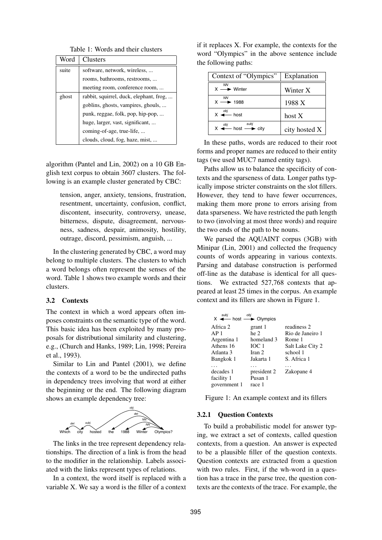Table 1: Words and their clusters

| Word  | Clusters                                |
|-------|-----------------------------------------|
| suite | software, network, wireless,            |
|       | rooms, bathrooms, restrooms,            |
|       | meeting room, conference room,          |
| ghost | rabbit, squirrel, duck, elephant, frog, |
|       | goblins, ghosts, vampires, ghouls,      |
|       | punk, reggae, folk, pop, hip-pop,       |
|       | huge, larger, vast, significant,        |
|       | coming-of-age, true-life,               |
|       | clouds, cloud, fog, haze, mist,         |

algorithm (Pantel and Lin, 2002) on a 10 GB English text corpus to obtain 3607 clusters. The following is an example cluster generated by CBC:

tension, anger, anxiety, tensions, frustration, resentment, uncertainty, confusion, conflict, discontent, insecurity, controversy, unease, bitterness, dispute, disagreement, nervousness, sadness, despair, animosity, hostility, outrage, discord, pessimism, anguish, ...

In the clustering generated by CBC, a word may belong to multiple clusters. The clusters to which a word belongs often represent the senses of the word. Table 1 shows two example words and their clusters.

#### 3.2 Contexts

The context in which a word appears often imposes constraints on the semantic type of the word. This basic idea has been exploited by many proposals for distributional similarity and clustering, e.g., (Church and Hanks, 1989; Lin, 1998; Pereira et al., 1993).

Similar to Lin and Pantel (2001), we define the contexts of a word to be the undirected paths in dependency trees involving that word at either the beginning or the end. The following diagram shows an example dependency tree:



The links in the tree represent dependency relationships. The direction of a link is from the head to the modifier in the relationship. Labels associated with the links represent types of relations.

In a context, the word itself is replaced with a variable X. We say a word is the filler of a context

if it replaces X. For example, the contexts for the word "Olympics" in the above sentence include the following paths:

| Context of "Olympics"                                         | Explanation   |  |  |
|---------------------------------------------------------------|---------------|--|--|
| <b>NN</b><br>$X \longrightarrow$ Winter                       | Winter X      |  |  |
| $X \stackrel{NN}{\longrightarrow} 1988$                       | 1988 X        |  |  |
| $X \xrightarrow{obj}$ host                                    | host $X$      |  |  |
| $X \xrightarrow{obj} \text{host} \longrightarrow \text{city}$ | city hosted X |  |  |

In these paths, words are reduced to their root forms and proper names are reduced to their entity tags (we used MUC7 named entity tags).

Paths allow us to balance the specificity of contexts and the sparseness of data. Longer paths typically impose stricter constraints on the slot fillers. However, they tend to have fewer occurrences, making them more prone to errors arising from data sparseness. We have restricted the path length to two (involving at most three words) and require the two ends of the path to be nouns.

We parsed the AQUAINT corpus (3GB) with Minipar (Lin, 2001) and collected the frequency counts of words appearing in various contexts. Parsing and database construction is performed off-line as the database is identical for all questions. We extracted 527,768 contexts that appeared at least 25 times in the corpus. An example context and its fillers are shown in Figure 1.

| subi<br>$X \leftarrow$ host $\rightarrow$ Olympics                                | obi                                                                      |                                                                                          |
|-----------------------------------------------------------------------------------|--------------------------------------------------------------------------|------------------------------------------------------------------------------------------|
| Africa 2<br>AP <sub>1</sub><br>Argentina 1<br>Athens 16<br>Atlanta 3<br>Bangkok 1 | grant 1<br>he 2<br>homeland 3<br>IOC <sub>1</sub><br>Iran 2<br>Jakarta 1 | readiness 2<br>Rio de Janeiro 1<br>Rome 1<br>Salt Lake City 2<br>school 1<br>S. Africa 1 |
| decades 1<br>facility 1<br>government 1                                           | president 2<br>Pusan 1<br>race 1                                         | Zakopane 4                                                                               |

Figure 1: An example context and its fillers

#### 3.2.1 Question Contexts

To build a probabilistic model for answer typing, we extract a set of contexts, called question contexts, from a question. An answer is expected to be a plausible filler of the question contexts. Question contexts are extracted from a question with two rules. First, if the wh-word in a question has a trace in the parse tree, the question contexts are the contexts of the trace. For example, the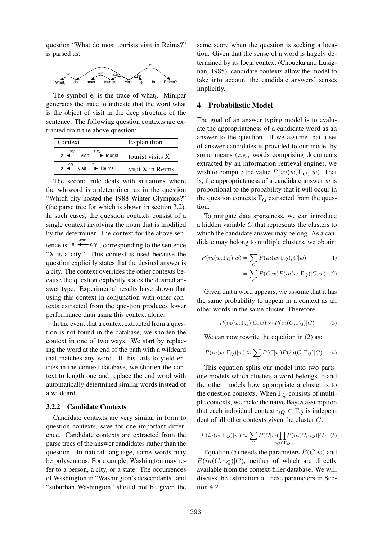question "What do most tourists visit in Reims?" is parsed as:



The symbol  $e_i$  is the trace of what $_i$ . Minipar generates the trace to indicate that the word what is the object of visit in the deep structure of the sentence. The following question contexts are extracted from the above question:

| Context                                                    | Explanation      |  |  |
|------------------------------------------------------------|------------------|--|--|
| $X \leftarrow \text{visit} \longrightarrow \text{tourist}$ | tourist visits X |  |  |
| $X \leftarrow \text{visit} \rightarrow \text{Reims}$       | visit X in Reims |  |  |

The second rule deals with situations where the wh-word is a determiner, as in the question "Which city hosted the 1988 Winter Olympics?" (the parse tree for which is shown in section 3.2). In such cases, the question contexts consist of a single context involving the noun that is modified by the determiner. The context for the above sentence is  $X \stackrel{\text{subj}}{\leftarrow}$  city, corresponding to the sentence "X is a city." This context is used because the question explicitly states that the desired answer is a city. The context overrides the other contexts because the question explicitly states the desired answer type. Experimental results have shown that using this context in conjunction with other contexts extracted from the question produces lower performance than using this context alone.

In the event that a context extracted from a question is not found in the database, we shorten the context in one of two ways. We start by replacing the word at the end of the path with a wildcard that matches any word. If this fails to yield entries in the context database, we shorten the context to length one and replace the end word with automatically determined similar words instead of a wildcard.

#### 3.2.2 Candidate Contexts

Candidate contexts are very similar in form to question contexts, save for one important difference. Candidate contexts are extracted from the parse trees of the answer candidates rather than the question. In natural language, some words may be polysemous. For example, Washington may refer to a person, a city, or a state. The occurrences of Washington in "Washington's descendants" and "suburban Washington" should not be given the same score when the question is seeking a location. Given that the sense of a word is largely determined by its local context (Choueka and Lusignan, 1985), candidate contexts allow the model to take into account the candidate answers' senses implicitly.

## 4 Probabilistic Model

The goal of an answer typing model is to evaluate the appropriateness of a candidate word as an answer to the question. If we assume that a set of answer candidates is provided to our model by some means (e.g., words comprising documents extracted by an information retrieval engine), we wish to compute the value  $P(in(w, \Gamma_Q)|w)$ . That is, the appropriateness of a candidate answer  $w$  is proportional to the probability that it will occur in the question contexts  $\Gamma_Q$  extracted from the question.

To mitigate data sparseness, we can introduce a hidden variable C that represents the clusters to which the candidate answer may belong. As a candidate may belong to multiple clusters, we obtain:

$$
P(in(w, \Gamma_Q)|w) = \sum_C P(in(w, \Gamma_Q), C|w)
$$
  
= 
$$
\sum P(C|w)P(in(w, \Gamma_Q)|C, w)
$$
 (2)

Given that a word appears, we assume that it has the same probability to appear in a context as all other words in the same cluster. Therefore:

C

$$
P(in(w, \Gamma_Q)|C, w) \approx P(in(C, \Gamma_Q)|C)
$$
 (3)

We can now rewrite the equation in  $(2)$  as:

$$
P(in(w, \Gamma_Q)|w) \approx \sum_C P(C|w)P(in(C, \Gamma_Q)|C) \quad (4)
$$

This equation splits our model into two parts: one models which clusters a word belongs to and the other models how appropriate a cluster is to the question contexts. When  $\Gamma_Q$  consists of multiple contexts, we make the naïve Bayes assumption that each individual context  $\gamma_Q \in \Gamma_Q$  is independent of all other contexts given the cluster C.

$$
P(in(w, \Gamma_Q)|w) \approx \sum_C P(C|w) \prod_{\gamma_Q \in \Gamma_Q} P(in(C, \gamma_Q)|C) \tag{5}
$$

Equation (5) needs the parameters  $P(C|w)$  and  $P(in(C, \gamma_Q)|C)$ , neither of which are directly available from the context-filler database. We will discuss the estimation of these parameters in Section 4.2.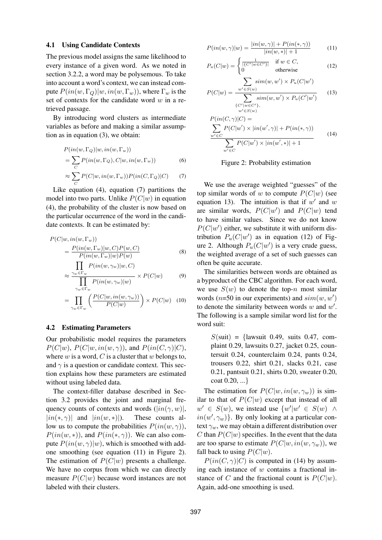## 4.1 Using Candidate Contexts

The previous model assigns the same likelihood to every instance of a given word. As we noted in section 3.2.2, a word may be polysemous. To take into account a word's context, we can instead compute  $P(in(w, \Gamma_Q)|w, in(w, \Gamma_w))$ , where  $\Gamma_w$  is the set of contexts for the candidate word  $w$  in a retrieved passage.

By introducing word clusters as intermediate variables as before and making a similar assumption as in equation (3), we obtain:

$$
P(in(w, \Gamma_Q)|w, in(w, \Gamma_w))
$$
  
= 
$$
\sum_C P(in(w, \Gamma_Q), C|w, in(w, \Gamma_w))
$$
 (6)

$$
\approx \sum_{C} P(C|w, in(w, \Gamma_w)) P(in(C, \Gamma_Q)|C) \tag{7}
$$

Like equation (4), equation (7) partitions the model into two parts. Unlike  $P(C|w)$  in equation (4), the probability of the cluster is now based on the particular occurrence of the word in the candidate contexts. It can be estimated by:

$$
P(C|w, in(w, \Gamma_w))
$$
  
= 
$$
\frac{P(in(w, \Gamma_w)|w, C)P(w, C)}{P(in(w, \Gamma_w)|w)P(w)}
$$
 (8)

$$
\sum_{\gamma_w \in \Gamma_w} P(in(w, \gamma_w)|w, C)
$$
  

$$
\approx \frac{\gamma_w \in \Gamma_w}{\prod P(in(w, \gamma_w)|w)} \times P(C|w)
$$
 (9)

$$
= \prod_{\gamma_w \in \Gamma_w}^{\gamma_w \in \Gamma_w} \left( \frac{P(C|w, in(w, \gamma_w))}{P(C|w)} \right) \times P(C|w) \quad (10)
$$

#### 4.2 Estimating Parameters

Our probabilistic model requires the parameters  $P(C|w)$ ,  $P(C|w, in(w, \gamma))$ , and  $P(in(C, \gamma)|C)$ , where  $w$  is a word,  $C$  is a cluster that  $w$  belongs to, and  $\gamma$  is a question or candidate context. This section explains how these parameters are estimated without using labeled data.

The context-filler database described in Section 3.2 provides the joint and marginal frequency counts of contexts and words  $(|in(\gamma, w)|,$  $|in(*, \gamma)|$  and  $|in(w, *)|$ ). These counts allow us to compute the probabilities  $P(in(w, \gamma))$ ,  $P(in(w, *)),$  and  $P(in(*, \gamma))$ . We can also compute  $P(in(w, \gamma)|w)$ , which is smoothed with addone smoothing (see equation (11) in Figure 2). The estimation of  $P(C|w)$  presents a challenge. We have no corpus from which we can directly measure  $P(C|w)$  because word instances are not labeled with their clusters.

$$
P(in(w, \gamma)|w) = \frac{|in(w, \gamma)| + P(in(*, \gamma))}{|in(w, *)| + 1}
$$
 (11)

$$
P_u(C|w) = \begin{cases} \frac{1}{|\{C'|w \in C'\}|} & \text{if } w \in C, \\ 0 & \text{otherwise} \end{cases}
$$
 (12)

$$
P(C|w) = \frac{\sum_{w' \in S(w)} sim(w, w') \times P_u(C|w')}{\sum_{\{C'|w \in C'\},} sim(w, w') \times P_u(C'|w')}
$$
(13)

$$
P(in(C, \gamma)|C) =
$$
  
\n
$$
\sum_{w' \in C} P(C|w') \times |in(w', \gamma)| + P(in(*, \gamma))
$$
  
\n
$$
\sum_{w' \in C} P(C|w') \times |in(w', *)| + 1
$$
\n(14)

Figure 2: Probability estimation

We use the average weighted "guesses" of the top similar words of w to compute  $P(C|w)$  (see equation 13). The intuition is that if  $w'$  and w are similar words,  $P(C|w')$  and  $P(C|w)$  tend to have similar values. Since we do not know  $P(C|w')$  either, we substitute it with uniform distribution  $P_u(C|w')$  as in equation (12) of Figure 2. Although  $P_u(C|w')$  is a very crude guess, the weighted average of a set of such guesses can often be quite accurate.

The similarities between words are obtained as a byproduct of the CBC algorithm. For each word, we use  $S(w)$  to denote the top-n most similar words ( $n=50$  in our experiments) and  $sim(w, w')$ to denote the similarity between words  $w$  and  $w'$ . The following is a sample similar word list for the word suit:

 $S(\text{suit}) = \{$ lawsuit 0.49, suits 0.47, complaint 0.29, lawsuits 0.27, jacket 0.25, countersuit 0.24, counterclaim 0.24, pants 0.24, trousers 0.22, shirt 0.21, slacks 0.21, case 0.21, pantsuit 0.21, shirts 0.20, sweater 0.20, coat 0.20, ...}

The estimation for  $P(C|w, in(w, \gamma_w))$  is similar to that of  $P(C|w)$  except that instead of all  $w' \in S(w)$ , we instead use  $\{w'|w' \in S(w) \; \wedge$  $in(w', \gamma_w)$ . By only looking at a particular context  $\gamma_w$ , we may obtain a different distribution over C than  $P(C|w)$  specifies. In the event that the data are too sparse to estimate  $P(C|w, in(w, \gamma_w))$ , we fall back to using  $P(C|w)$ .

 $P(in(C, \gamma)|C)$  is computed in (14) by assuming each instance of  $w$  contains a fractional instance of C and the fractional count is  $P(C|w)$ . Again, add-one smoothing is used.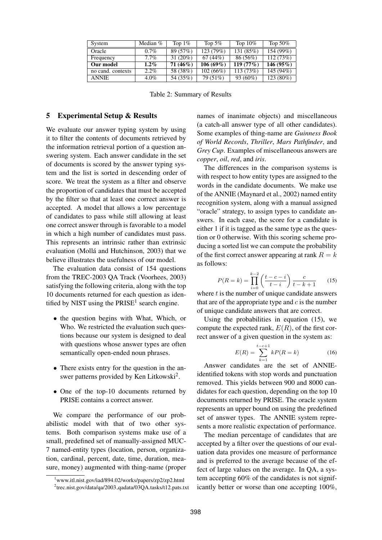| System            | Median $%$ | Top $1\%$  | Top $5\%$   | Top $10\%$ | Top $50\%$   |
|-------------------|------------|------------|-------------|------------|--------------|
| Oracle            | $0.7\%$    | 89 (57%)   | 123 (79%)   | 131 (85%)  | 154(99%)     |
| Frequency         | $7.7\%$    | $31(20\%)$ | 67(44%)     | 86 (56%)   | 112(73%)     |
| Our model         | $1.2\%$    | $71(46\%)$ | $106(69\%)$ | 119(77%)   | 146 $(95\%)$ |
| no cand. contexts | $2.2\%$    | 58 (38%)   | 102(66%)    | 113(73%)   | 145 (94%)    |
| <b>ANNIE</b>      | $4.0\%$    | 54 (35%)   | 79 (51%)    | $93(60\%)$ | 123 (80%)    |

Table 2: Summary of Results

## 5 Experimental Setup & Results

We evaluate our answer typing system by using it to filter the contents of documents retrieved by the information retrieval portion of a question answering system. Each answer candidate in the set of documents is scored by the answer typing system and the list is sorted in descending order of score. We treat the system as a filter and observe the proportion of candidates that must be accepted by the filter so that at least one correct answer is accepted. A model that allows a low percentage of candidates to pass while still allowing at least one correct answer through is favorable to a model in which a high number of candidates must pass. This represents an intrinsic rather than extrinsic evaluation (Mollá and Hutchinson, 2003) that we believe illustrates the usefulness of our model.

The evaluation data consist of 154 questions from the TREC-2003 QA Track (Voorhees, 2003) satisfying the following criteria, along with the top 10 documents returned for each question as identified by NIST using the  $PRISE<sup>1</sup>$  search engine.

- the question begins with What, Which, or Who. We restricted the evaluation such questions because our system is designed to deal with questions whose answer types are often semantically open-ended noun phrases.
- There exists entry for the question in the answer patterns provided by Ken Litkowski<sup>2</sup>.
- One of the top-10 documents returned by PRISE contains a correct answer.

We compare the performance of our probabilistic model with that of two other systems. Both comparison systems make use of a small, predefined set of manually-assigned MUC-7 named-entity types (location, person, organization, cardinal, percent, date, time, duration, measure, money) augmented with thing-name (proper names of inanimate objects) and miscellaneous (a catch-all answer type of all other candidates). Some examples of thing-name are *Guinness Book of World Records*, *Thriller*, *Mars Pathfinder*, and *Grey Cup*. Examples of miscellaneous answers are *copper*, *oil*, *red*, and *iris*.

The differences in the comparison systems is with respect to how entity types are assigned to the words in the candidate documents. We make use of the ANNIE (Maynard et al., 2002) named entity recognition system, along with a manual assigned "oracle" strategy, to assign types to candidate answers. In each case, the score for a candidate is either 1 if it is tagged as the same type as the question or 0 otherwise. With this scoring scheme producing a sorted list we can compute the probability of the first correct answer appearing at rank  $R = k$ as follows:

$$
P(R = k) = \prod_{i=0}^{k-2} \left( \frac{t - c - i}{t - i} \right) \frac{c}{t - k + 1}
$$
 (15)

where  $t$  is the number of unique candidate answers that are of the appropriate type and  $c$  is the number of unique candidate answers that are correct.

Using the probabilities in equation (15), we compute the expected rank,  $E(R)$ , of the first correct answer of a given question in the system as:

$$
E(R) = \sum_{k=1}^{t-c+1} kP(R=k)
$$
 (16)

Answer candidates are the set of ANNIEidentified tokens with stop words and punctuation removed. This yields between 900 and 8000 candidates for each question, depending on the top 10 documents returned by PRISE. The oracle system represents an upper bound on using the predefined set of answer types. The ANNIE system represents a more realistic expectation of performance.

The median percentage of candidates that are accepted by a filter over the questions of our evaluation data provides one measure of performance and is preferred to the average because of the effect of large values on the average. In QA, a system accepting 60% of the candidates is not significantly better or worse than one accepting 100%,

<sup>1</sup>www.itl.nist.gov/iad/894.02/works/papers/zp2/zp2.html <sup>2</sup>trec.nist.gov/data/qa/2003\_qadata/03QA.tasks/t12.pats.txt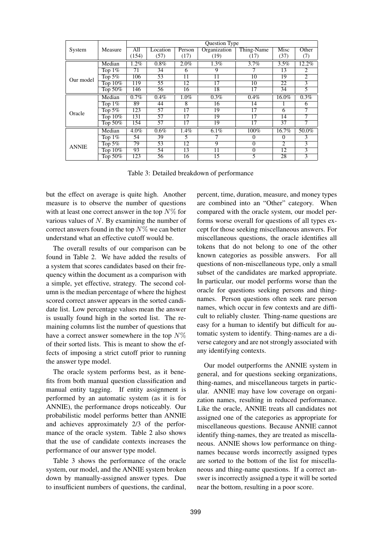|              |            | <b>Question Type</b> |          |                 |                 |                 |                 |                |
|--------------|------------|----------------------|----------|-----------------|-----------------|-----------------|-----------------|----------------|
| System       | Measure    | All                  | Location | Person          | Organization    | Thing-Name      | Misc            | Other          |
|              |            | (154)                | (57)     | (17)            | (19)            | (17)            | (37)            | (7)            |
|              | Median     | 1.2%                 | $0.8\%$  | 2.0%            | $1.3\%$         | 3.7%            | 3.5%            | 12.2%          |
|              | Top $1\%$  | 71                   | 34       | 6               | 9               |                 | 13              | 2              |
| Our model    | Top $5\%$  | 106                  | 53       | $\overline{11}$ | $\overline{11}$ | $\overline{10}$ | 19              | $\overline{2}$ |
|              | Top $10\%$ | 119                  | 55       | 12              | 17              | 10              | 22              | $\overline{3}$ |
|              | Top $50\%$ | 146                  | 56       | 16              | 18              | $\overline{17}$ | 34              | 5              |
| Oracle       | Median     | 0.7%                 | 0.4%     | $1.0\%$         | $0.3\%$         | 0.4%            | 16.0%           | 0.3%           |
|              | Top $1\%$  | 89                   | 44       | 8               | 16              | 14              |                 | 6              |
|              | Top $5\%$  | 123                  | 57       | 17              | 19              | 17              | 6               |                |
|              | Top 10%    | 131                  | 57       | 17              | 19              | 17              | 14              |                |
|              | Top $50\%$ | 154                  | 57       | 17              | 19              | 17              | 37              |                |
|              | Median     | 4.0%                 | 0.6%     | 1.4%            | $6.1\%$         | 100%            | 16.7%           | 50.0%          |
| <b>ANNIE</b> | Top $1\%$  | 54                   | 39       | 5               |                 | 0               | $\Omega$        | 3              |
|              | Top $5\%$  | 79                   | 53       | 12              | 9               | 0               | $\mathfrak{D}$  | 3              |
|              | Top $10\%$ | 93                   | 54       | 13              | 11              | 0               | $\overline{12}$ | 3              |
|              | Top $50\%$ | 123                  | 56       | 16              | 15              | 5               | 28              | 3              |

Table 3: Detailed breakdown of performance

but the effect on average is quite high. Another measure is to observe the number of questions with at least one correct answer in the top  $N\%$  for various values of  $N$ . By examining the number of correct answers found in the top  $N\%$  we can better understand what an effective cutoff would be.

The overall results of our comparison can be found in Table 2. We have added the results of a system that scores candidates based on their frequency within the document as a comparison with a simple, yet effective, strategy. The second column is the median percentage of where the highest scored correct answer appears in the sorted candidate list. Low percentage values mean the answer is usually found high in the sorted list. The remaining columns list the number of questions that have a correct answer somewhere in the top  $N\%$ of their sorted lists. This is meant to show the effects of imposing a strict cutoff prior to running the answer type model.

The oracle system performs best, as it benefits from both manual question classification and manual entity tagging. If entity assignment is performed by an automatic system (as it is for ANNIE), the performance drops noticeably. Our probabilistic model performs better than ANNIE and achieves approximately 2/3 of the performance of the oracle system. Table 2 also shows that the use of candidate contexts increases the performance of our answer type model.

Table 3 shows the performance of the oracle system, our model, and the ANNIE system broken down by manually-assigned answer types. Due to insufficient numbers of questions, the cardinal,

percent, time, duration, measure, and money types are combined into an "Other" category. When compared with the oracle system, our model performs worse overall for questions of all types except for those seeking miscellaneous answers. For miscellaneous questions, the oracle identifies all tokens that do not belong to one of the other known categories as possible answers. For all questions of non-miscellaneous type, only a small subset of the candidates are marked appropriate. In particular, our model performs worse than the oracle for questions seeking persons and thingnames. Person questions often seek rare person names, which occur in few contexts and are difficult to reliably cluster. Thing-name questions are easy for a human to identify but difficult for automatic system to identify. Thing-names are a diverse category and are not strongly associated with any identifying contexts.

Our model outperforms the ANNIE system in general, and for questions seeking organizations, thing-names, and miscellaneous targets in particular. ANNIE may have low coverage on organization names, resulting in reduced performance. Like the oracle, ANNIE treats all candidates not assigned one of the categories as appropriate for miscellaneous questions. Because ANNIE cannot identify thing-names, they are treated as miscellaneous. ANNIE shows low performance on thingnames because words incorrectly assigned types are sorted to the bottom of the list for miscellaneous and thing-name questions. If a correct answer is incorrectly assigned a type it will be sorted near the bottom, resulting in a poor score.